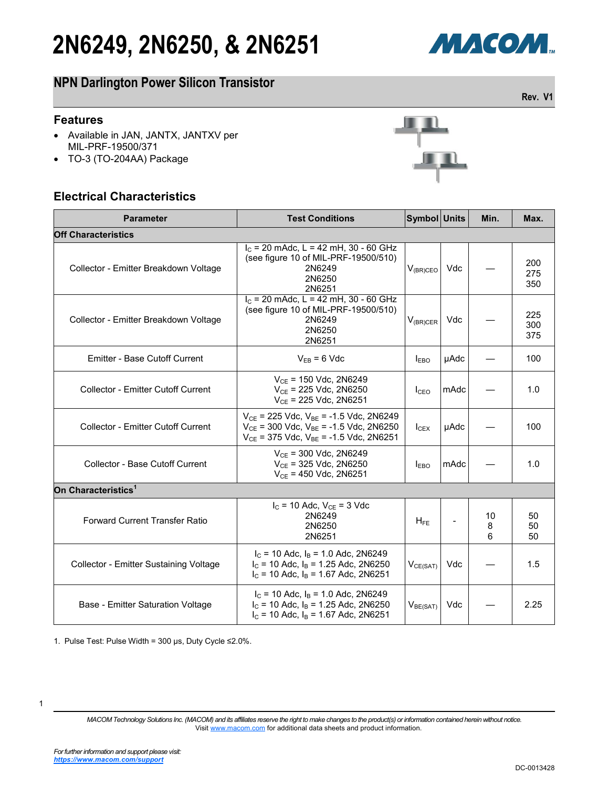# **2N6249, 2N6250, & 2N6251**



**Rev. V1**

### **NPN Darlington Power Silicon Transistor**

#### **Features**

- Available in JAN, JANTX, JANTXV per MIL-PRF-19500/371
- TO-3 (TO-204AA) Package

#### **Electrical Characteristics**



| <b>Parameter</b>                          | <b>Test Conditions</b>                                                                                                                                | Symbol Units         |      | Min.         | Max.              |
|-------------------------------------------|-------------------------------------------------------------------------------------------------------------------------------------------------------|----------------------|------|--------------|-------------------|
| <b>Off Characteristics</b>                |                                                                                                                                                       |                      |      |              |                   |
| Collector - Emitter Breakdown Voltage     | $IC$ = 20 mAdc, L = 42 mH, 30 - 60 GHz<br>(see figure 10 of MIL-PRF-19500/510)<br>2N6249<br>2N6250<br>2N6251                                          | $V_{(BR)CEO}$        | Vdc  |              | 200<br>275<br>350 |
| Collector - Emitter Breakdown Voltage     | $I_c$ = 20 mAdc, L = 42 mH, 30 - 60 GHz<br>(see figure 10 of MIL-PRF-19500/510)<br>2N6249<br>2N6250<br>2N6251                                         | $V_{(BR)CER}$        | Vdc  |              | 225<br>300<br>375 |
| <b>Emitter - Base Cutoff Current</b>      | $V_{EB} = 6$ Vdc                                                                                                                                      | $I_{EBO}$            | µAdc |              | 100               |
| <b>Collector - Emitter Cutoff Current</b> | $V_{CE}$ = 150 Vdc, 2N6249<br>$V_{CE}$ = 225 Vdc, 2N6250<br>$V_{CE}$ = 225 Vdc, 2N6251                                                                | ICEO                 | mAdc |              | 1.0               |
| <b>Collector - Emitter Cutoff Current</b> | $V_{CE}$ = 225 Vdc, $V_{BE}$ = -1.5 Vdc, 2N6249<br>$V_{CE}$ = 300 Vdc, $V_{BE}$ = -1.5 Vdc, 2N6250<br>$V_{CE}$ = 375 Vdc, $V_{BE}$ = -1.5 Vdc, 2N6251 | $I_{CEX}$            | µAdc |              | 100               |
| Collector - Base Cutoff Current           | $V_{CE}$ = 300 Vdc, 2N6249<br>$V_{CE}$ = 325 Vdc, 2N6250<br>$V_{CE}$ = 450 Vdc, 2N6251                                                                | $I_{EBO}$            | mAdc |              | 1.0               |
| On Characteristics <sup>1</sup>           |                                                                                                                                                       |                      |      |              |                   |
| <b>Forward Current Transfer Ratio</b>     | $I_C$ = 10 Adc, $V_{CE}$ = 3 Vdc<br>2N6249<br>2N6250<br>2N6251                                                                                        | $H_{FE}$             |      | 10<br>8<br>6 | 50<br>50<br>50    |
| Collector - Emitter Sustaining Voltage    | $I_C$ = 10 Adc, $I_B$ = 1.0 Adc, 2N6249<br>$I_c$ = 10 Adc, $I_B$ = 1.25 Adc, 2N6250<br>$I_c$ = 10 Adc, $I_B$ = 1.67 Adc, 2N6251                       | $V_{CE(SAT)}$        | Vdc  |              | 1.5               |
| Base - Emitter Saturation Voltage         | $I_c$ = 10 Adc, $I_B$ = 1.0 Adc, 2N6249<br>$I_c$ = 10 Adc, $I_B$ = 1.25 Adc, 2N6250<br>$I_c$ = 10 Adc, $I_B$ = 1.67 Adc, 2N6251                       | V <sub>BE(SAT)</sub> | Vdc  |              | 2.25              |

1. Pulse Test: Pulse Width = 300 μs, Duty Cycle ≤2.0%.

<sup>1</sup>

*MACOM Technology Solutions Inc. (MACOM) and its affiliates reserve the right to make changes to the product(s) or information contained herein without notice.*  Visit [www.macom.com](http://www.macom.com/) for additional data sheets and product information.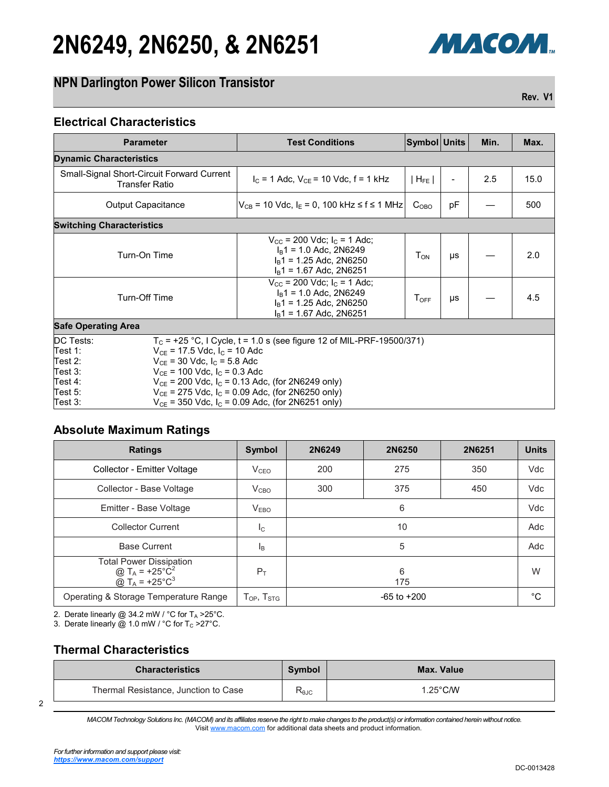# **2N6249, 2N6250, & 2N6251**

### **NPN Darlington Power Silicon Transistor**

**Rev. V1**

МАСОМ.

#### **Electrical Characteristics**

| <b>Parameter</b>                                                                                                                                                                                                                                                                                                                                                                                                                                                     | <b>Test Conditions</b>                                                                                                                      | Symbol Units       |           | Min. | Max. |
|----------------------------------------------------------------------------------------------------------------------------------------------------------------------------------------------------------------------------------------------------------------------------------------------------------------------------------------------------------------------------------------------------------------------------------------------------------------------|---------------------------------------------------------------------------------------------------------------------------------------------|--------------------|-----------|------|------|
| <b>Dynamic Characteristics</b>                                                                                                                                                                                                                                                                                                                                                                                                                                       |                                                                                                                                             |                    |           |      |      |
| <b>Small-Signal Short-Circuit Forward Current</b><br><b>Transfer Ratio</b>                                                                                                                                                                                                                                                                                                                                                                                           | $I_C = 1$ Adc, $V_{CE} = 10$ Vdc, $f = 1$ kHz                                                                                               | $ H_{FE} $         |           | 2.5  | 15.0 |
| <b>Output Capacitance</b>                                                                                                                                                                                                                                                                                                                                                                                                                                            | $V_{CB}$ = 10 Vdc, I <sub>E</sub> = 0, 100 kHz ≤ f ≤ 1 MHz                                                                                  | $C_{OBO}$          | pF        |      | 500  |
| <b>Switching Characteristics</b>                                                                                                                                                                                                                                                                                                                                                                                                                                     |                                                                                                                                             |                    |           |      |      |
| Turn-On Time                                                                                                                                                                                                                                                                                                                                                                                                                                                         | $V_{\text{CC}}$ = 200 Vdc; $I_{\text{C}}$ = 1 Adc;<br>$IB1$ = 1.0 Adc, 2N6249<br>$I_B$ 1 = 1.25 Adc, 2N6250<br>$I_B$ 1 = 1.67 Adc, 2N6251   | $T_{ON}$           | <b>US</b> |      | 2.0  |
| Turn-Off Time                                                                                                                                                                                                                                                                                                                                                                                                                                                        | $V_{\text{cc}}$ = 200 Vdc; $I_{\text{c}}$ = 1 Adc;<br>$I_B$ 1 = 1.0 Adc, 2N6249<br>$I_B$ 1 = 1.25 Adc, 2N6250<br>$I_B$ 1 = 1.67 Adc, 2N6251 | $T_{\textsf{OFF}}$ | μs        |      | 4.5  |
| <b>Safe Operating Area</b>                                                                                                                                                                                                                                                                                                                                                                                                                                           |                                                                                                                                             |                    |           |      |      |
| $T_c$ = +25 °C, I Cycle, t = 1.0 s (see figure 12 of MIL-PRF-19500/371)<br>DC Tests:<br>Test 1:<br>$V_{CF}$ = 17.5 Vdc, $I_C$ = 10 Adc<br>Test 2:<br>$V_{CF}$ = 30 Vdc, $I_C$ = 5.8 Adc<br>Test 3:<br>$V_{CE}$ = 100 Vdc, $I_C$ = 0.3 Adc<br>Test 4:<br>$V_{CE}$ = 200 Vdc, $I_C$ = 0.13 Adc, (for 2N6249 only)<br>Test 5:<br>$V_{CE}$ = 275 Vdc, I <sub>c</sub> = 0.09 Adc, (for 2N6250 only)<br>$V_{CE}$ = 350 Vdc, $I_C$ = 0.09 Adc, (for 2N6251 only)<br>Test 3: |                                                                                                                                             |                    |           |      |      |

#### **Absolute Maximum Ratings**

| <b>Ratings</b>                                                                                                              | <b>Symbol</b>                                            | 2N6249          | 2N6250 | 2N6251 | <b>Units</b> |
|-----------------------------------------------------------------------------------------------------------------------------|----------------------------------------------------------|-----------------|--------|--------|--------------|
| Collector - Emitter Voltage                                                                                                 | V <sub>CEO</sub>                                         | 200             | 275    | 350    | Vdc          |
| Collector - Base Voltage                                                                                                    | V <sub>CBO</sub>                                         | 300             | 375    | 450    | Vdc          |
| Emitter - Base Voltage                                                                                                      | V <sub>EBO</sub>                                         |                 | 6      |        | Vdc          |
| <b>Collector Current</b>                                                                                                    | Ic                                                       | 10              |        | Adc    |              |
| <b>Base Current</b>                                                                                                         | <sub>IB</sub>                                            | 5               |        | Adc    |              |
| <b>Total Power Dissipation</b><br>@ T <sub>A</sub> = +25°C <sup>2</sup><br>@ T <sub>A</sub> = +25 $^{\circ}$ C <sup>3</sup> | $P_T$                                                    | 6<br>175        |        | W      |              |
| Operating & Storage Temperature Range                                                                                       | ${\mathsf T}_{\mathsf{OP}},\,{\mathsf T}_{\mathsf{STG}}$ | $-65$ to $+200$ |        | °C     |              |

2. Derate linearly @ 34.2 mW /  $^{\circ}$ C for T<sub>A</sub> > 25 $^{\circ}$ C.

3. Derate linearly  $\ddot{\textcircled{a}}$  1.0 mW / °C for T<sub>c</sub> > 27 °C.

#### **Thermal Characteristics**

| <b>Characteristics</b>               | Symbol         | Max. Value         |
|--------------------------------------|----------------|--------------------|
| Thermal Resistance, Junction to Case | $R_{\theta$ JC | $1.25^{\circ}$ C/W |

*MACOM Technology Solutions Inc. (MACOM) and its affiliates reserve the right to make changes to the product(s) or information contained herein without notice.*  Visit [www.macom.com](http://www.macom.com/) for additional data sheets and product information.

2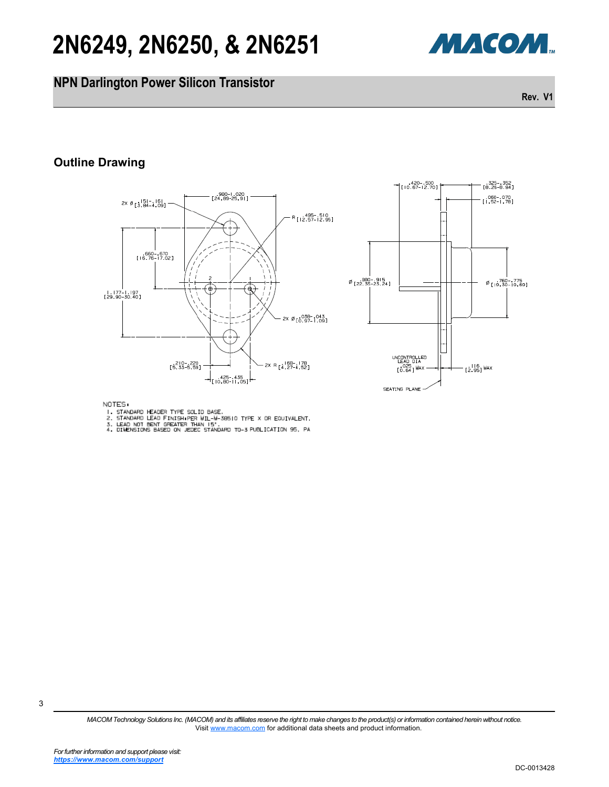# **2N6249, 2N6250, & 2N6251**

### **NPN Darlington Power Silicon Transistor**

Visit [www.macom.com](http://www.macom.com/) for additional data sheets and product information.

## **Outline Drawing**

980 - 1.020<br>24.89 - 25.91 2x Ø<sub>[3.84-4.09]</sub> R [12.57-12.95] 660 670<br>[16.76 - 17.02] | 177 | 197<br>|29.90 -30.40 ] 2X Ø [0.97-1.09] 210 220<br>[5.33-5.59] 2X R [4, 27-4, 52] 425--435<br>Trio 80-11.05]



NOTES.

- 
- NOTED<br>2. STANDARD LEADER TYPE SOLID BASE.<br>3. LEADARD LEAD FINISH PER MIL-M-30510 TYPE X OR EQUIVALENT.<br>3. LEAD NOT BEN'S BASED ON JEDEC STANDARD TO-3 PUBLICATION 95, PA
- 



325 - 352<br>[8.26-8.94]

**Rev. V1**